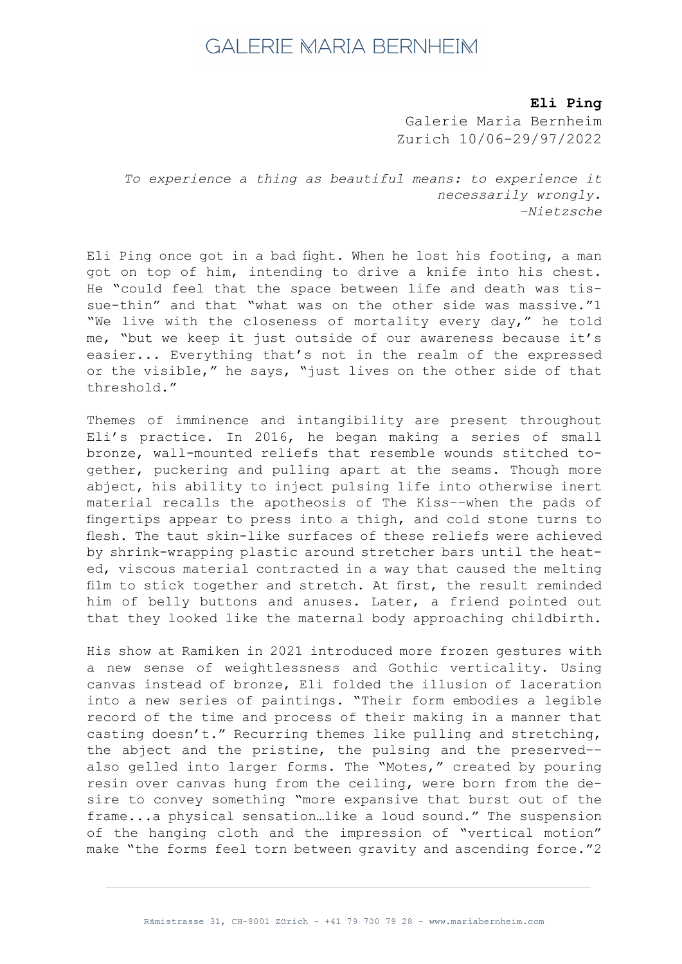## **GALERIE MARIA BERNHEIM**

*Bailey Scieszka* **Eli Ping**

**The Flesh Failures** Galerie Maria Bernheim<br>Contra Contra Luciens Zurich 10/06-29/97/2022

To experience a thing as beautiful means: to experience it *necessarily wrongly. –Nietzsche*

got on top of him, intending to drive a knife into his chest.  $\frac{1}{2}$ He "could feel that the space between life and death was tissue-thin" and that "what was on the other side was massive."1 "We live with the closeness of mortality every day," he told  $200$  check me, "but we keep it just outside of our awareness because it's Eli Ping once got in a bad fight. When he lost his footing, a man easier... Everything that's not in the realm of the expressed or the visible," he says, "just lives on the other side of that threshold."

Themes of imminence and intangibility are present throughout  $2016$  bo bog Eli's practice. In 2016, he began making a series of small<br>. **Bailey Scieszka** material recalls the apotheosis of The Kiss––when the pads of Trixie Mattel Baby with Adidas Face Paint, 2021 fingertips appear to press into a thigh, and cold stone turns to flesh. The taut skin-like surfaces of these reliefs were achieved  $\overline{a}$ by shrink–wrapping plastic around stretcher bars until the heat– **Bailey Scieszka** him of belly buttons and anuses. Later, a friend pointed out that they looked like the maternal body approaching childbirth. bronze, wall-mounted reliefs that resemble wounds stitched together, puckering and pulling apart at the seams. Though more abject, his ability to inject pulsing life into otherwise inert ed, viscous material contracted in a way that caused the melting film to stick together and stretch. At first, the result reminded

 $2001 \cdot 1$ 79 x 47 in His show at Ramiken in 2021 introduced more frozen gestures with a new sense of weightlessness and Gothic verticality. Using **Bailey Scieszka** into a new series of paintings. "Their form embodies a legible record of the time and process of their making in a manner that casting doesn't." Recurring themes like pulling and stretching,  $\frac{3}{2}$   $\frac{3}{2}$   $\frac{3}{2}$   $\frac{3}{2}$   $\frac{3}{2}$   $\frac{3}{2}$   $\frac{3}{2}$   $\frac{3}{2}$   $\frac{3}{2}$   $\frac{3}{2}$   $\frac{3}{2}$   $\frac{3}{2}$   $\frac{3}{2}$   $\frac{3}{2}$   $\frac{3}{2}$   $\frac{3}{2}$   $\frac{3}{2}$   $\frac{3}{2}$   $\frac{3}{2}$   $\frac{3}{2}$   $\frac{3}{2}$   $\frac{3}{2}$  the abject and the pristine, the pulsing and the preserved-canvas instead of bronze, Eli folded the illusion of laceration also gelled into larger forms. The "Motes," created by pouring resin over canvas hung from the ceiling, were born from the desire to convey something "more expansive that burst out of the frame...a physical sensation…like a loud sound." The suspension of the hanging cloth and the impression of "vertical motion" make "the forms feel torn between gravity and ascending force."2